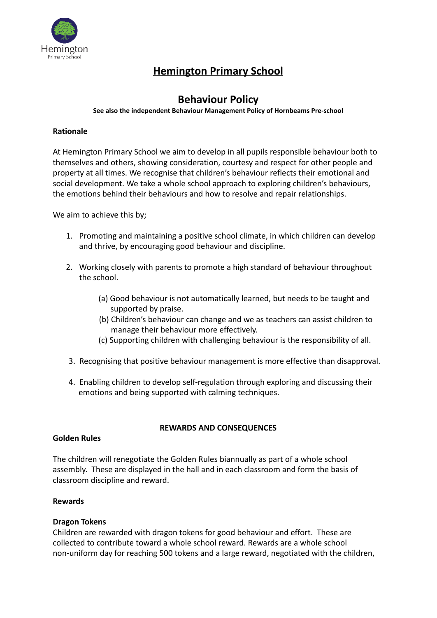

# **Hemington Primary School**

# **Behaviour Policy**

#### **See also the independent Behaviour Management Policy of Hornbeams Pre-school**

#### **Rationale**

At Hemington Primary School we aim to develop in all pupils responsible behaviour both to themselves and others, showing consideration, courtesy and respect for other people and property at all times. We recognise that children's behaviour reflects their emotional and social development. We take a whole school approach to exploring children's behaviours, the emotions behind their behaviours and how to resolve and repair relationships.

We aim to achieve this by:

- 1. Promoting and maintaining a positive school climate, in which children can develop and thrive, by encouraging good behaviour and discipline.
- 2. Working closely with parents to promote a high standard of behaviour throughout the school.
	- (a) Good behaviour is not automatically learned, but needs to be taught and supported by praise.
	- (b) Children's behaviour can change and we as teachers can assist children to manage their behaviour more effectively.
	- (c) Supporting children with challenging behaviour is the responsibility of all.
- 3. Recognising that positive behaviour management is more effective than disapproval.
- 4. Enabling children to develop self-regulation through exploring and discussing their emotions and being supported with calming techniques.

# **REWARDS AND CONSEQUENCES**

#### **Golden Rules**

The children will renegotiate the Golden Rules biannually as part of a whole school assembly. These are displayed in the hall and in each classroom and form the basis of classroom discipline and reward.

#### **Rewards**

#### **Dragon Tokens**

Children are rewarded with dragon tokens for good behaviour and effort. These are collected to contribute toward a whole school reward. Rewards are a whole school non-uniform day for reaching 500 tokens and a large reward, negotiated with the children,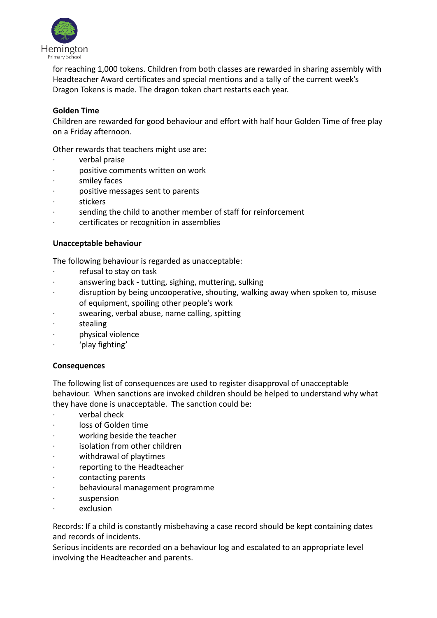

for reaching 1,000 tokens. Children from both classes are rewarded in sharing assembly with Headteacher Award certificates and special mentions and a tally of the current week's Dragon Tokens is made. The dragon token chart restarts each year.

# **Golden Time**

Children are rewarded for good behaviour and effort with half hour Golden Time of free play on a Friday afternoon.

Other rewards that teachers might use are:

- · verbal praise
- · positive comments written on work
- smiley faces
- · positive messages sent to parents
- **stickers**
- sending the child to another member of staff for reinforcement
- · certificates or recognition in assemblies

#### **Unacceptable behaviour**

The following behaviour is regarded as unacceptable:

- refusal to stay on task
- answering back tutting, sighing, muttering, sulking
- disruption by being uncooperative, shouting, walking away when spoken to, misuse of equipment, spoiling other people's work
- swearing, verbal abuse, name calling, spitting
- **stealing**
- · physical violence
- 'play fighting'

#### **Consequences**

The following list of consequences are used to register disapproval of unacceptable behaviour. When sanctions are invoked children should be helped to understand why what they have done is unacceptable. The sanction could be:

- · verbal check
- loss of Golden time
- working beside the teacher
- isolation from other children
- withdrawal of playtimes
- reporting to the Headteacher
- contacting parents
- behavioural management programme
- suspension
- exclusion

Records: If a child is constantly misbehaving a case record should be kept containing dates and records of incidents.

Serious incidents are recorded on a behaviour log and escalated to an appropriate level involving the Headteacher and parents.